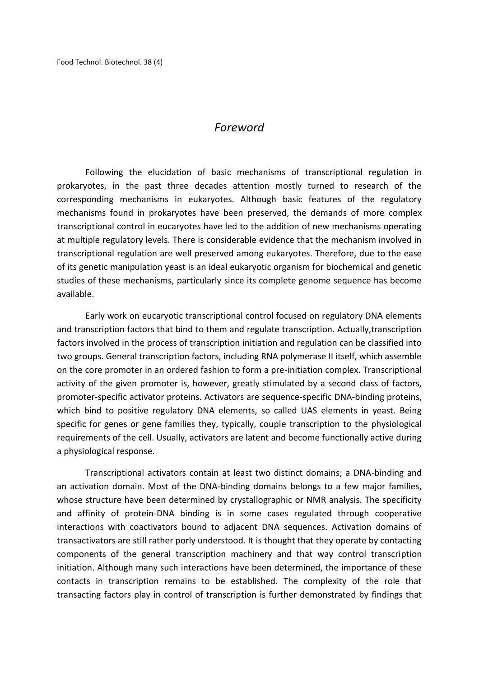## *Foreword*

Following the elucidation of basic mechanisms of transcriptional regulation in prokaryotes, in the past three decades attention mostly turned to research of the corresponding mechanisms in eukaryotes. Although basic features of the regulatory mechanisms found in prokaryotes have been preserved, the demands of more complex transcriptional control in eucaryotes have led to the addition of new mechanisms operating at multiple regulatory levels. There is considerable evidence that the mechanism involved in transcriptional regulation are well preserved among eukaryotes. Therefore, due to the ease of its genetic manipulation yeast is an ideal eukaryotic organism for biochemical and genetic studies of these mechanisms, particularly since its complete genome sequence has become available.

Early work on eucaryotic transcriptional control focused on regulatory DNA elements and transcription factors that bind to them and regulate transcription. Actually,transcription factors involved in the process of transcription initiation and regulation can be classified into two groups. General transcription factors, including RNA polymerase II itself, which assemble on the core promoter in an ordered fashion to form a pre-initiation complex. Transcriptional activity of the given promoter is, however, greatly stimulated by a second class of factors, promoter-specific activator proteins. Activators are sequence-specific DNA-binding proteins, which bind to positive regulatory DNA elements, so called UAS elements in yeast. Being specific for genes or gene families they, typically, couple transcription to the physiological requirements of the cell. Usually, activators are latent and become functionally active during a physiological response.

Transcriptional activators contain at least two distinct domains; a DNA-binding and an activation domain. Most of the DNA-binding domains belongs to a few major families, whose structure have been determined by crystallographic or NMR analysis. The specificity and affinity of protein-DNA binding is in some cases regulated through cooperative interactions with coactivators bound to adjacent DNA sequences. Activation domains of transactivators are still rather porly understood. It is thought that they operate by contacting components of the general transcription machinery and that way control transcription initiation. Although many such interactions have been determined, the importance of these contacts in transcription remains to be established. The complexity of the role that transacting factors play in control of transcription is further demonstrated by findings that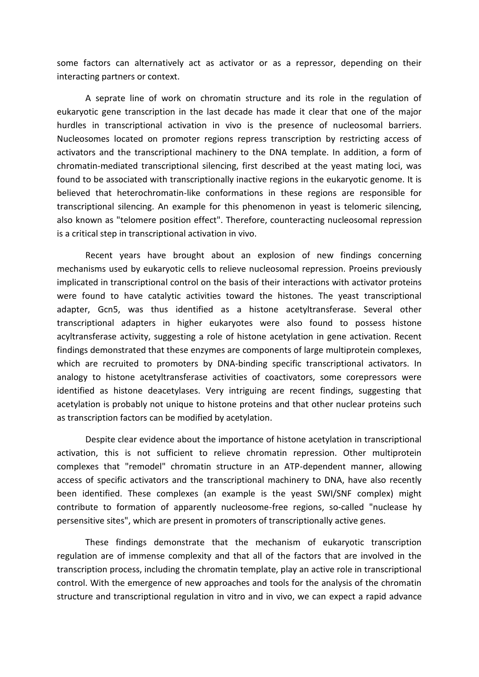some factors can alternatively act as activator or as a repressor, depending on their interacting partners or context.

A seprate line of work on chromatin structure and its role in the regulation of eukaryotic gene transcription in the last decade has made it clear that one of the major hurdles in transcriptional activation in vivo is the presence of nucleosomal barriers. Nucleosomes located on promoter regions repress transcription by restricting access of activators and the transcriptional machinery to the DNA template. In addition, a form of chromatin-mediated transcriptional silencing, first described at the yeast mating loci, was found to be associated with transcriptionally inactive regions in the eukaryotic genome. It is believed that heterochromatin-like conformations in these regions are responsible for transcriptional silencing. An example for this phenomenon in yeast is telomeric silencing, also known as "telomere position effect". Therefore, counteracting nucleosomal repression is a critical step in transcriptional activation in vivo.

Recent years have brought about an explosion of new findings concerning mechanisms used by eukaryotic cells to relieve nucleosomal repression. Proeins previously implicated in transcriptional control on the basis of their interactions with activator proteins were found to have catalytic activities toward the histones. The yeast transcriptional adapter, Gcn5, was thus identified as a histone acetyltransferase. Several other transcriptional adapters in higher eukaryotes were also found to possess histone acyltransferase activity, suggesting a role of histone acetylation in gene activation. Recent findings demonstrated that these enzymes are components of large multiprotein complexes, which are recruited to promoters by DNA-binding specific transcriptional activators. In analogy to histone acetyltransferase activities of coactivators, some corepressors were identified as histone deacetylases. Very intriguing are recent findings, suggesting that acetylation is probably not unique to histone proteins and that other nuclear proteins such as transcription factors can be modified by acetylation.

Despite clear evidence about the importance of histone acetylation in transcriptional activation, this is not sufficient to relieve chromatin repression. Other multiprotein complexes that "remodel" chromatin structure in an ATP-dependent manner, allowing access of specific activators and the transcriptional machinery to DNA, have also recently been identified. These complexes (an example is the yeast SWI/SNF complex) might contribute to formation of apparently nucleosome-free regions, so-called "nuclease hy persensitive sites", which are present in promoters of transcriptionally active genes.

These findings demonstrate that the mechanism of eukaryotic transcription regulation are of immense complexity and that all of the factors that are involved in the transcription process, including the chromatin template, play an active role in transcriptional control. With the emergence of new approaches and tools for the analysis of the chromatin structure and transcriptional regulation in vitro and in vivo, we can expect a rapid advance